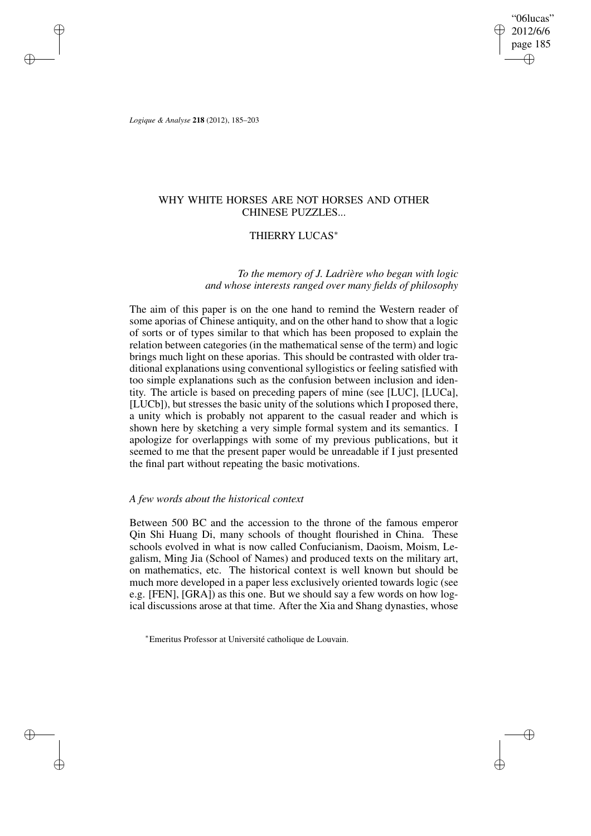"06lucas" 2012/6/6 page 185 ✐ ✐

✐

✐

*Logique & Analyse* **218** (2012), 185–203

✐

✐

✐

✐

# WHY WHITE HORSES ARE NOT HORSES AND OTHER CHINESE PUZZLES...

# THIERRY LUCAS<sup>∗</sup>

# *To the memory of J. Ladrière who began with logic and whose interests ranged over many fields of philosophy*

The aim of this paper is on the one hand to remind the Western reader of some aporias of Chinese antiquity, and on the other hand to show that a logic of sorts or of types similar to that which has been proposed to explain the relation between categories (in the mathematical sense of the term) and logic brings much light on these aporias. This should be contrasted with older traditional explanations using conventional syllogistics or feeling satisfied with too simple explanations such as the confusion between inclusion and identity. The article is based on preceding papers of mine (see [LUC], [LUCa], [LUCb]), but stresses the basic unity of the solutions which I proposed there, a unity which is probably not apparent to the casual reader and which is shown here by sketching a very simple formal system and its semantics. I apologize for overlappings with some of my previous publications, but it seemed to me that the present paper would be unreadable if I just presented the final part without repeating the basic motivations.

## *A few words about the historical context*

Between 500 BC and the accession to the throne of the famous emperor Qin Shi Huang Di, many schools of thought flourished in China. These schools evolved in what is now called Confucianism, Daoism, Moism, Legalism, Ming Jia (School of Names) and produced texts on the military art, on mathematics, etc. The historical context is well known but should be much more developed in a paper less exclusively oriented towards logic (see e.g. [FEN], [GRA]) as this one. But we should say a few words on how logical discussions arose at that time. After the Xia and Shang dynasties, whose

<sup>∗</sup>Emeritus Professor at Université catholique de Louvain.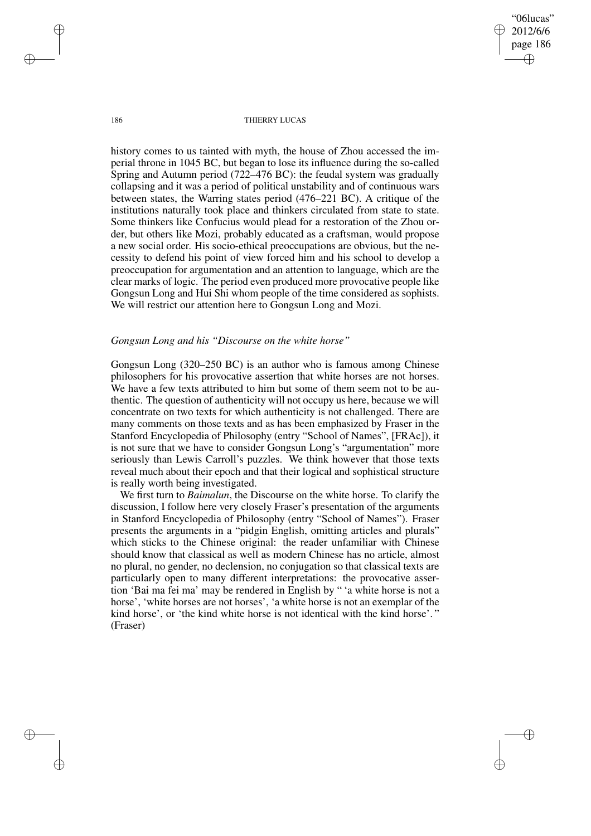"06lucas" 2012/6/6 page 186 ✐ ✐

✐

✐

#### 186 THIERRY LUCAS

history comes to us tainted with myth, the house of Zhou accessed the imperial throne in 1045 BC, but began to lose its influence during the so-called Spring and Autumn period (722–476 BC): the feudal system was gradually collapsing and it was a period of political unstability and of continuous wars between states, the Warring states period (476–221 BC). A critique of the institutions naturally took place and thinkers circulated from state to state. Some thinkers like Confucius would plead for a restoration of the Zhou order, but others like Mozi, probably educated as a craftsman, would propose a new social order. His socio-ethical preoccupations are obvious, but the necessity to defend his point of view forced him and his school to develop a preoccupation for argumentation and an attention to language, which are the clear marks of logic. The period even produced more provocative people like Gongsun Long and Hui Shi whom people of the time considered as sophists. We will restrict our attention here to Gongsun Long and Mozi.

## *Gongsun Long and his "Discourse on the white horse"*

Gongsun Long (320–250 BC) is an author who is famous among Chinese philosophers for his provocative assertion that white horses are not horses. We have a few texts attributed to him but some of them seem not to be authentic. The question of authenticity will not occupy us here, because we will concentrate on two texts for which authenticity is not challenged. There are many comments on those texts and as has been emphasized by Fraser in the Stanford Encyclopedia of Philosophy (entry "School of Names", [FRAc]), it is not sure that we have to consider Gongsun Long's "argumentation" more seriously than Lewis Carroll's puzzles. We think however that those texts reveal much about their epoch and that their logical and sophistical structure is really worth being investigated.

We first turn to *Baimalun*, the Discourse on the white horse. To clarify the discussion, I follow here very closely Fraser's presentation of the arguments in Stanford Encyclopedia of Philosophy (entry "School of Names"). Fraser presents the arguments in a "pidgin English, omitting articles and plurals" which sticks to the Chinese original: the reader unfamiliar with Chinese should know that classical as well as modern Chinese has no article, almost no plural, no gender, no declension, no conjugation so that classical texts are particularly open to many different interpretations: the provocative assertion 'Bai ma fei ma' may be rendered in English by " 'a white horse is not a horse', 'white horses are not horses', 'a white horse is not an exemplar of the kind horse', or 'the kind white horse is not identical with the kind horse'. " (Fraser)

✐

✐

✐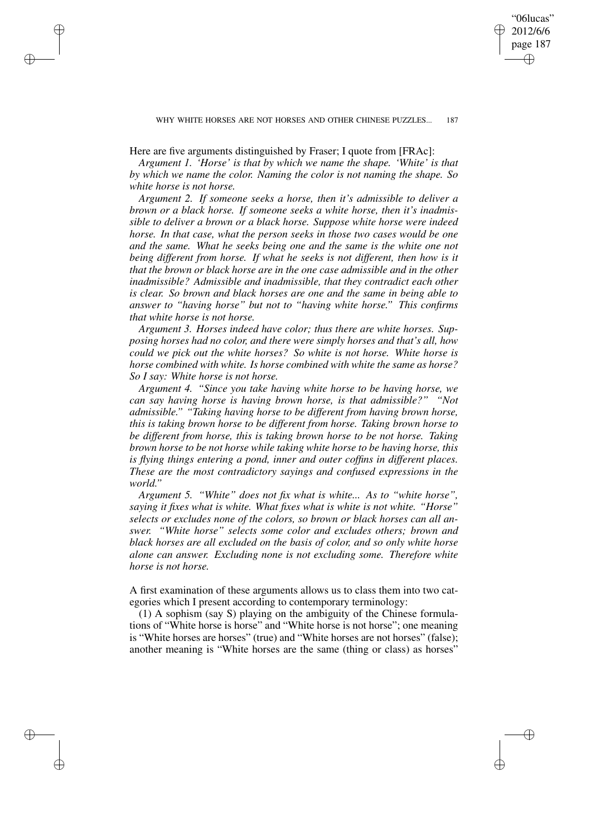WHY WHITE HORSES ARE NOT HORSES AND OTHER CHINESE PUZZLES... 187

"06lucas" 2012/6/6 page 187

✐

✐

✐

✐

Here are five arguments distinguished by Fraser; I quote from [FRAc]:

✐

✐

✐

✐

*Argument 1. 'Horse' is that by which we name the shape. 'White' is that by which we name the color. Naming the color is not naming the shape. So white horse is not horse.*

*Argument 2. If someone seeks a horse, then it's admissible to deliver a brown or a black horse. If someone seeks a white horse, then it's inadmissible to deliver a brown or a black horse. Suppose white horse were indeed horse. In that case, what the person seeks in those two cases would be one and the same. What he seeks being one and the same is the white one not being different from horse. If what he seeks is not different, then how is it that the brown or black horse are in the one case admissible and in the other inadmissible? Admissible and inadmissible, that they contradict each other is clear. So brown and black horses are one and the same in being able to answer to "having horse" but not to "having white horse." This confirms that white horse is not horse.*

*Argument 3. Horses indeed have color; thus there are white horses. Supposing horses had no color, and there were simply horses and that's all, how could we pick out the white horses? So white is not horse. White horse is horse combined with white. Is horse combined with white the same as horse? So I say: White horse is not horse.*

*Argument 4. "Since you take having white horse to be having horse, we can say having horse is having brown horse, is that admissible?" "Not admissible." "Taking having horse to be different from having brown horse, this is taking brown horse to be different from horse. Taking brown horse to be different from horse, this is taking brown horse to be not horse. Taking brown horse to be not horse while taking white horse to be having horse, this is flying things entering a pond, inner and outer coffins in different places. These are the most contradictory sayings and confused expressions in the world."*

*Argument 5. "White" does not fix what is white... As to "white horse", saying it fixes what is white. What fixes what is white is not white. "Horse" selects or excludes none of the colors, so brown or black horses can all answer. "White horse" selects some color and excludes others; brown and black horses are all excluded on the basis of color, and so only white horse alone can answer. Excluding none is not excluding some. Therefore white horse is not horse.*

A first examination of these arguments allows us to class them into two categories which I present according to contemporary terminology:

(1) A sophism (say S) playing on the ambiguity of the Chinese formulations of "White horse is horse" and "White horse is not horse"; one meaning is "White horses are horses" (true) and "White horses are not horses" (false); another meaning is "White horses are the same (thing or class) as horses"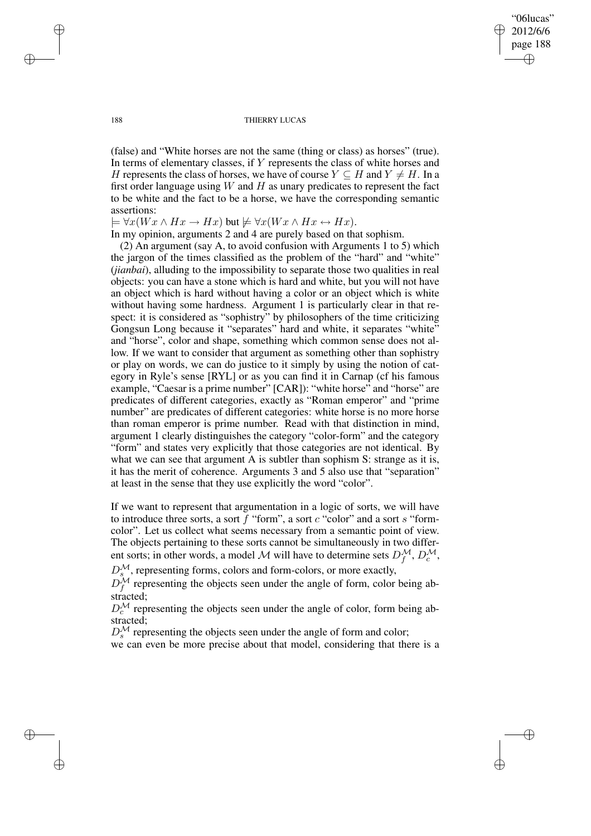"06lucas" 2012/6/6 page 188 ✐ ✐

✐

✐

#### 188 THIERRY LUCAS

(false) and "White horses are not the same (thing or class) as horses" (true). In terms of elementary classes, if Y represents the class of white horses and H represents the class of horses, we have of course  $Y \subseteq H$  and  $Y \neq H$ . In a first order language using  $W$  and  $H$  as unary predicates to represent the fact to be white and the fact to be a horse, we have the corresponding semantic assertions:

 $\models \forall x(Wx \land Hx \rightarrow Hx)$  but  $\nvdash \forall x(Wx \land Hx \leftrightarrow Hx).$ 

In my opinion, arguments 2 and 4 are purely based on that sophism.

(2) An argument (say A, to avoid confusion with Arguments 1 to 5) which the jargon of the times classified as the problem of the "hard" and "white" (*jianbai*), alluding to the impossibility to separate those two qualities in real objects: you can have a stone which is hard and white, but you will not have an object which is hard without having a color or an object which is white without having some hardness. Argument 1 is particularly clear in that respect: it is considered as "sophistry" by philosophers of the time criticizing Gongsun Long because it "separates" hard and white, it separates "white" and "horse", color and shape, something which common sense does not allow. If we want to consider that argument as something other than sophistry or play on words, we can do justice to it simply by using the notion of category in Ryle's sense [RYL] or as you can find it in Carnap (cf his famous example, "Caesar is a prime number" [CAR]): "white horse" and "horse" are predicates of different categories, exactly as "Roman emperor" and "prime number" are predicates of different categories: white horse is no more horse than roman emperor is prime number. Read with that distinction in mind, argument 1 clearly distinguishes the category "color-form" and the category "form" and states very explicitly that those categories are not identical. By what we can see that argument A is subtler than sophism S: strange as it is, it has the merit of coherence. Arguments 3 and 5 also use that "separation" at least in the sense that they use explicitly the word "color".

If we want to represent that argumentation in a logic of sorts, we will have to introduce three sorts, a sort  $f$  "form", a sort  $c$  "color" and a sort  $s$  "formcolor". Let us collect what seems necessary from a semantic point of view. The objects pertaining to these sorts cannot be simultaneously in two different sorts; in other words, a model M will have to determine sets  $D_f^{\mathcal{M}}, D_c^{\mathcal{M}}$ ,

 $D_{s}^{\mathcal{M}}$ , representing forms, colors and form-colors, or more exactly,

 $D_f^{\mathcal{M}}$  representing the objects seen under the angle of form, color being abstracted;

 $D_c^{\mathcal{M}}$  representing the objects seen under the angle of color, form being abstracted;

 $D_s^{\mathcal{M}}$  representing the objects seen under the angle of form and color;

we can even be more precise about that model, considering that there is a

✐

✐

✐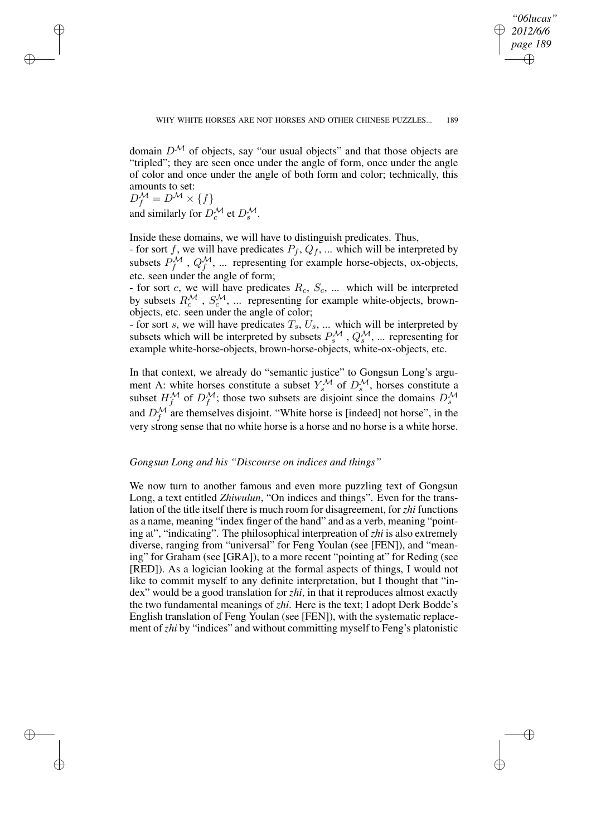✐

✐

✐

✐

domain  $D^{\mathcal{M}}$  of objects, say "our usual objects" and that those objects are "tripled"; they are seen once under the angle of form, once under the angle of color and once under the angle of both form and color; technically, this amounts to set:

 $D_f^{\mathcal{M}} = D^{\mathcal{M}} \times \{f\}$ and similarly for  $D_c^{\mathcal{M}}$  et  $D_s^{\mathcal{M}}$ .

✐

✐

✐

✐

Inside these domains, we will have to distinguish predicates. Thus,

- for sort f, we will have predicates  $P_f, Q_f, ...$  which will be interpreted by subsets  $P_f^{\mathcal{M}}$ ,  $Q_f^{\mathcal{M}}$ , ... representing for example horse-objects, ox-objects, etc. seen under the angle of form;

- for sort c, we will have predicates  $R_c$ ,  $S_c$ , ... which will be interpreted by subsets  $R_c^{\mathcal{M}}$ ,  $S_c^{\mathcal{M}}$ , ... representing for example white-objects, brownobjects, etc. seen under the angle of color;

- for sort s, we will have predicates  $T_s$ ,  $U_s$ , ... which will be interpreted by subsets which will be interpreted by subsets  $P_s^{\mathcal{M}}$ ,  $Q_s^{\mathcal{M}}$ , ... representing for example white-horse-objects, brown-horse-objects, white-ox-objects, etc.

In that context, we already do "semantic justice" to Gongsun Long's argument A: white horses constitute a subset  $Y_s^{\mathcal{M}}$  of  $D_s^{\mathcal{M}}$ , horses constitute a subset  $H_f^{\mathcal{M}}$  of  $D_f^{\mathcal{M}}$ ; those two subsets are disjoint since the domains  $D_s^{\mathcal{M}}$ and  $D_f^{\mathcal{M}}$  are themselves disjoint. "White horse is [indeed] not horse", in the very strong sense that no white horse is a horse and no horse is a white horse.

# *Gongsun Long and his "Discourse on indices and things"*

We now turn to another famous and even more puzzling text of Gongsun Long, a text entitled *Zhiwulun*, "On indices and things". Even for the translation of the title itself there is much room for disagreement, for *zhi* functions as a name, meaning "index finger of the hand" and as a verb, meaning "pointing at", "indicating". The philosophical interpreation of *zhi* is also extremely diverse, ranging from "universal" for Feng Youlan (see [FEN]), and "meaning" for Graham (see [GRA]), to a more recent "pointing at" for Reding (see [RED]). As a logician looking at the formal aspects of things, I would not like to commit myself to any definite interpretation, but I thought that "index" would be a good translation for *zhi*, in that it reproduces almost exactly the two fundamental meanings of *zhi*. Here is the text; I adopt Derk Bodde's English translation of Feng Youlan (see [FEN]), with the systematic replacement of *zhi* by "indices" and without committing myself to Feng's platonistic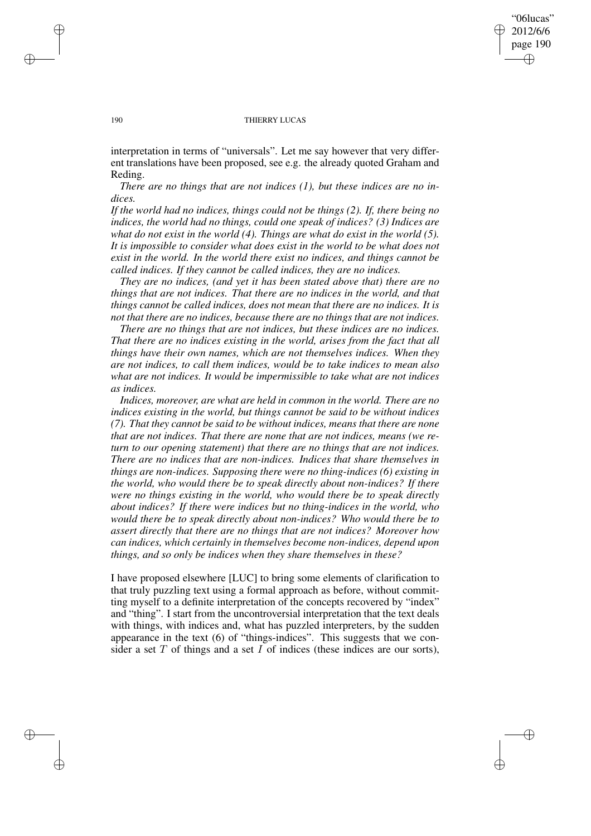## "06lucas" 2012/6/6 page 190 ✐ ✐

✐

✐

#### 190 THIERRY LUCAS

interpretation in terms of "universals". Let me say however that very different translations have been proposed, see e.g. the already quoted Graham and Reding.

*There are no things that are not indices (1), but these indices are no indices.*

*If the world had no indices, things could not be things (2). If, there being no indices, the world had no things, could one speak of indices? (3) Indices are what do not exist in the world (4). Things are what do exist in the world (5). It is impossible to consider what does exist in the world to be what does not exist in the world. In the world there exist no indices, and things cannot be called indices. If they cannot be called indices, they are no indices.*

*They are no indices, (and yet it has been stated above that) there are no things that are not indices. That there are no indices in the world, and that things cannot be called indices, does not mean that there are no indices. It is not that there are no indices, because there are no things that are not indices.*

*There are no things that are not indices, but these indices are no indices. That there are no indices existing in the world, arises from the fact that all things have their own names, which are not themselves indices. When they are not indices, to call them indices, would be to take indices to mean also what are not indices. It would be impermissible to take what are not indices as indices.*

*Indices, moreover, are what are held in common in the world. There are no indices existing in the world, but things cannot be said to be without indices (7). That they cannot be said to be without indices, means that there are none that are not indices. That there are none that are not indices, means (we return to our opening statement) that there are no things that are not indices. There are no indices that are non-indices. Indices that share themselves in things are non-indices. Supposing there were no thing-indices (6) existing in the world, who would there be to speak directly about non-indices? If there were no things existing in the world, who would there be to speak directly about indices? If there were indices but no thing-indices in the world, who would there be to speak directly about non-indices? Who would there be to assert directly that there are no things that are not indices? Moreover how can indices, which certainly in themselves become non-indices, depend upon things, and so only be indices when they share themselves in these?*

I have proposed elsewhere [LUC] to bring some elements of clarification to that truly puzzling text using a formal approach as before, without committing myself to a definite interpretation of the concepts recovered by "index" and "thing". I start from the uncontroversial interpretation that the text deals with things, with indices and, what has puzzled interpreters, by the sudden appearance in the text (6) of "things-indices". This suggests that we consider a set  $T$  of things and a set  $I$  of indices (these indices are our sorts),

✐

✐

✐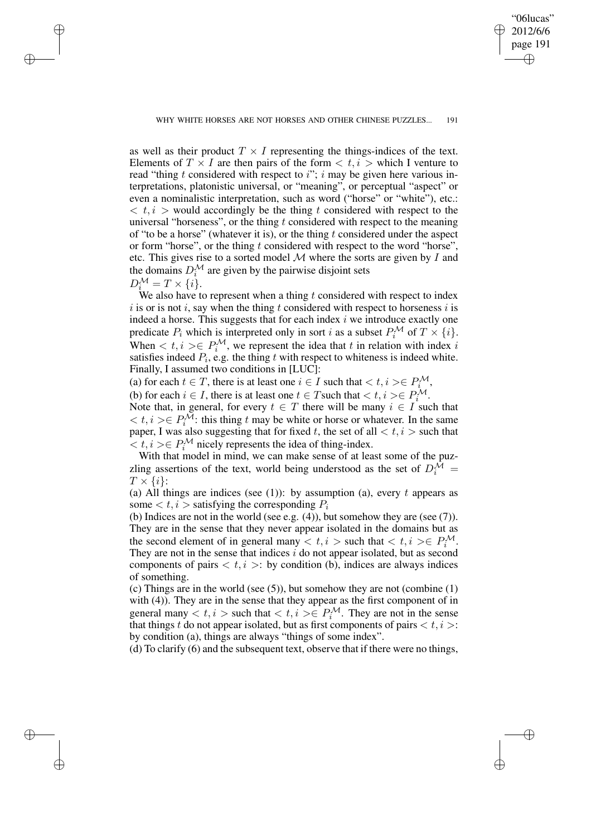✐

✐

✐

✐

"06lucas" 2012/6/6 page 191

✐

✐

✐

✐

as well as their product  $T \times I$  representing the things-indices of the text. Elements of  $T \times I$  are then pairs of the form  $\langle t, i \rangle$  which I venture to read "thing t considered with respect to  $i$ "; i may be given here various interpretations, platonistic universal, or "meaning", or perceptual "aspect" or even a nominalistic interpretation, such as word ("horse" or "white"), etc.:  $\langle t, i \rangle$  would accordingly be the thing t considered with respect to the universal "horseness", or the thing  $t$  considered with respect to the meaning of "to be a horse" (whatever it is), or the thing  $t$  considered under the aspect or form "horse", or the thing  $t$  considered with respect to the word "horse", etc. This gives rise to a sorted model  $M$  where the sorts are given by  $I$  and the domains  $D_i^{\mathcal{M}}$  are given by the pairwise disjoint sets  $D_i^{\mathcal{M}} = T \times \{i\}.$ 

We also have to represent when a thing  $t$  considered with respect to index  $i$  is or is not i, say when the thing t considered with respect to horseness i is indeed a horse. This suggests that for each index  $i$  we introduce exactly one predicate  $P_i$  which is interpreted only in sort i as a subset  $P_i^{\mathcal{M}}$  of  $T \times \{i\}$ . When  $\langle t, i \rangle \in P_i^{\mathcal{M}}$ , we represent the idea that t in relation with index i satisfies indeed  $P_i$ , e.g. the thing t with respect to whiteness is indeed white. Finally, I assumed two conditions in [LUC]:

(a) for each  $t \in T$ , there is at least one  $i \in I$  such that  $\langle t, i \rangle \in P_i^{\mathcal{M}}$ ,

(b) for each  $i \in I$ , there is at least one  $t \in T$  such that  $\langle t, i \rangle \in P_i^{\mathcal{M}}$ .

Note that, in general, for every  $t \in T$  there will be many  $i \in I$  such that  $< t, i > \in P_i^{\mathcal{M}}$ : this thing t may be white or horse or whatever. In the same paper, I was also suggesting that for fixed t, the set of all  $\lt t, i >$  such that  $\langle t, i \rangle \in P_i^{\mathcal{M}}$  nicely represents the idea of thing-index.

With that model in mind, we can make sense of at least some of the puzzling assertions of the text, world being understood as the set of  $D_i^{\hat{M}} =$  $T \times \{i\}$ :

(a) All things are indices (see (1)): by assumption (a), every  $t$  appears as some  $\langle t, i \rangle$  satisfying the corresponding  $P_i$ 

(b) Indices are not in the world (see e.g.  $(4)$ ), but somehow they are (see  $(7)$ ). They are in the sense that they never appear isolated in the domains but as the second element of in general many  $\lt t, i >$  such that  $\lt t, i \gt \in P_i^{\mathcal{M}}$ . They are not in the sense that indices  $i$  do not appear isolated, but as second components of pairs  $\langle t, i \rangle$ : by condition (b), indices are always indices of something.

(c) Things are in the world (see (5)), but somehow they are not (combine (1) with (4)). They are in the sense that they appear as the first component of in general many  $\langle t, i \rangle$  such that  $\langle t, i \rangle \in P_i^{\mathcal{M}}$ . They are not in the sense that things t do not appear isolated, but as first components of pairs  $\langle t, i \rangle$ : by condition (a), things are always "things of some index".

(d) To clarify (6) and the subsequent text, observe that if there were no things,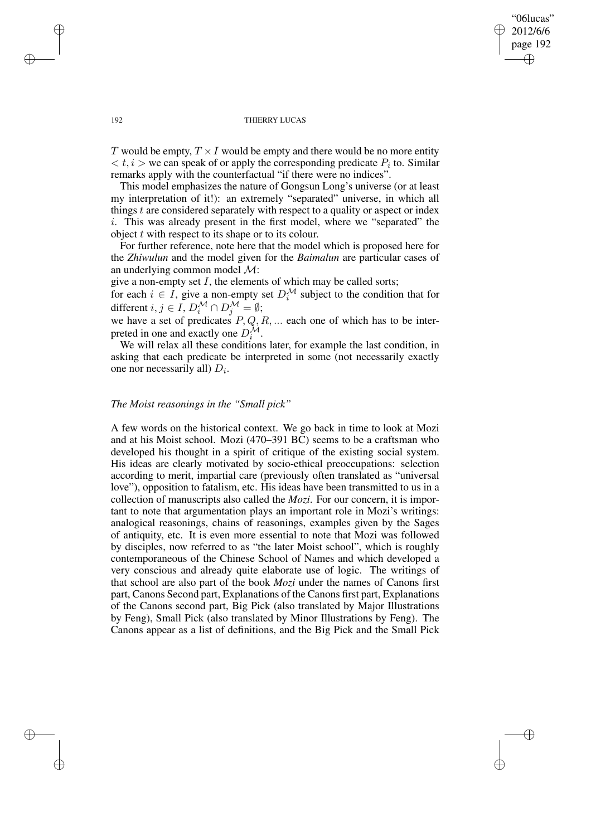"06lucas" 2012/6/6 page 192 ✐ ✐

✐

✐

#### 192 THIERRY LUCAS

T would be empty,  $T \times I$  would be empty and there would be no more entity  $\langle t, i \rangle$  we can speak of or apply the corresponding predicate  $P_i$  to. Similar remarks apply with the counterfactual "if there were no indices".

This model emphasizes the nature of Gongsun Long's universe (or at least my interpretation of it!): an extremely "separated" universe, in which all things  $t$  are considered separately with respect to a quality or aspect or index i. This was already present in the first model, where we "separated" the object  $t$  with respect to its shape or to its colour.

For further reference, note here that the model which is proposed here for the *Zhiwulun* and the model given for the *Baimalun* are particular cases of an underlying common model M:

give a non-empty set  $I$ , the elements of which may be called sorts;

for each  $i \in I$ , give a non-empty set  $D_i^{\mathcal{M}}$  subject to the condition that for different  $i, j \in I$ ,  $D_i^{\mathcal{M}} \cap D_j^{\mathcal{M}} = \emptyset$ ;

we have a set of predicates  $P, Q, R, \dots$  each one of which has to be interpreted in one and exactly one  $D_i^{\mathcal{M}}$ .

We will relax all these conditions later, for example the last condition, in asking that each predicate be interpreted in some (not necessarily exactly one nor necessarily all)  $D_i$ .

# *The Moist reasonings in the "Small pick"*

A few words on the historical context. We go back in time to look at Mozi and at his Moist school. Mozi (470–391 BC) seems to be a craftsman who developed his thought in a spirit of critique of the existing social system. His ideas are clearly motivated by socio-ethical preoccupations: selection according to merit, impartial care (previously often translated as "universal love"), opposition to fatalism, etc. His ideas have been transmitted to us in a collection of manuscripts also called the *Mozi*. For our concern, it is important to note that argumentation plays an important role in Mozi's writings: analogical reasonings, chains of reasonings, examples given by the Sages of antiquity, etc. It is even more essential to note that Mozi was followed by disciples, now referred to as "the later Moist school", which is roughly contemporaneous of the Chinese School of Names and which developed a very conscious and already quite elaborate use of logic. The writings of that school are also part of the book *Mozi* under the names of Canons first part, Canons Second part, Explanations of the Canons first part, Explanations of the Canons second part, Big Pick (also translated by Major Illustrations by Feng), Small Pick (also translated by Minor Illustrations by Feng). The Canons appear as a list of definitions, and the Big Pick and the Small Pick

✐

✐

✐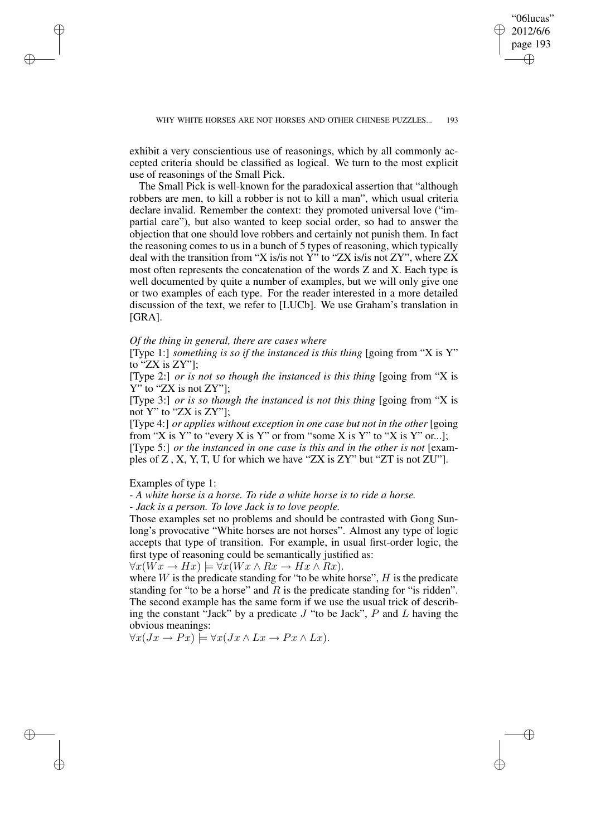✐

✐

✐

✐

exhibit a very conscientious use of reasonings, which by all commonly accepted criteria should be classified as logical. We turn to the most explicit use of reasonings of the Small Pick.

The Small Pick is well-known for the paradoxical assertion that "although robbers are men, to kill a robber is not to kill a man", which usual criteria declare invalid. Remember the context: they promoted universal love ("impartial care"), but also wanted to keep social order, so had to answer the objection that one should love robbers and certainly not punish them. In fact the reasoning comes to us in a bunch of 5 types of reasoning, which typically deal with the transition from "X is/is not Y" to "ZX is/is not ZY", where ZX most often represents the concatenation of the words Z and X. Each type is well documented by quite a number of examples, but we will only give one or two examples of each type. For the reader interested in a more detailed discussion of the text, we refer to [LUCb]. We use Graham's translation in [GRA].

#### *Of the thing in general, there are cases where*

[Type 1:] *something is so if the instanced is this thing* [going from "X is Y" to "ZX is ZY"];

[Type 2:] *or is not so though the instanced is this thing* [going from "X is Y" to "ZX is not ZY"];

[Type 3:] *or is so though the instanced is not this thing* [going from "X is not Y" to "ZX is ZY"];

[Type 4:] *or applies without exception in one case but not in the other* [going from "X is Y" to "every X is Y" or from "some X is Y" to "X is Y" or...];

[Type 5:] *or the instanced in one case is this and in the other is not* [examples of Z , X, Y, T, U for which we have "ZX is ZY" but "ZT is not ZU"].

Examples of type 1:

✐

✐

✐

✐

*- A white horse is a horse. To ride a white horse is to ride a horse.*

*- Jack is a person. To love Jack is to love people.*

Those examples set no problems and should be contrasted with Gong Sunlong's provocative "White horses are not horses". Almost any type of logic accepts that type of transition. For example, in usual first-order logic, the first type of reasoning could be semantically justified as:

 $\forall x(Wx \to Hx) \models \forall x(Wx \land Rx \to Hx \land Rx).$ 

where  $W$  is the predicate standing for "to be white horse",  $H$  is the predicate standing for "to be a horse" and  $R$  is the predicate standing for "is ridden". The second example has the same form if we use the usual trick of describing the constant "Jack" by a predicate  $J$  "to be Jack",  $P$  and  $L$  having the obvious meanings:

 $\forall x (Jx \rightarrow Px) \models \forall x (Jx \land Lx \rightarrow Px \land Lx).$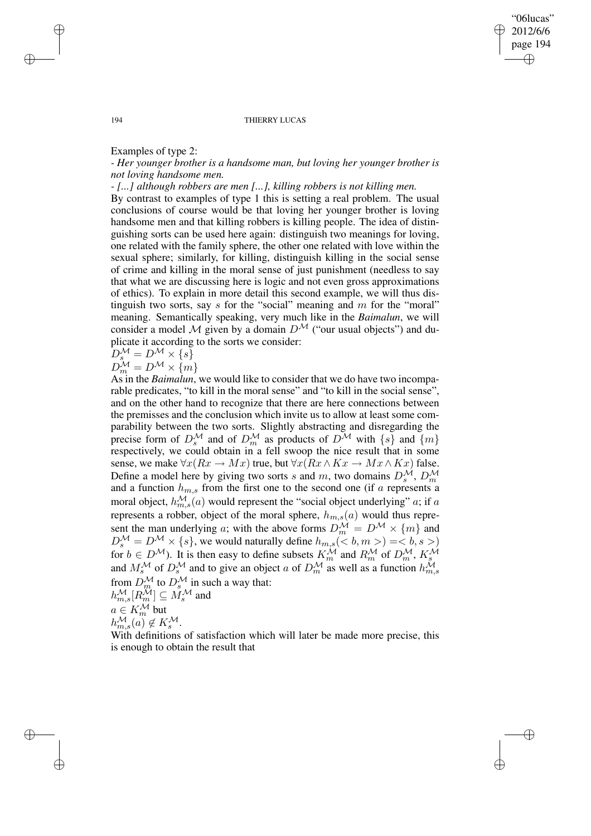✐

✐

#### 194 THIERRY LUCAS

## Examples of type 2:

*- Her younger brother is a handsome man, but loving her younger brother is not loving handsome men.*

*- [...] although robbers are men [...], killing robbers is not killing men.*

By contrast to examples of type 1 this is setting a real problem. The usual conclusions of course would be that loving her younger brother is loving handsome men and that killing robbers is killing people. The idea of distinguishing sorts can be used here again: distinguish two meanings for loving, one related with the family sphere, the other one related with love within the sexual sphere; similarly, for killing, distinguish killing in the social sense of crime and killing in the moral sense of just punishment (needless to say that what we are discussing here is logic and not even gross approximations of ethics). To explain in more detail this second example, we will thus distinguish two sorts, say  $s$  for the "social" meaning and  $m$  for the "moral" meaning. Semantically speaking, very much like in the *Baimalun*, we will consider a model M given by a domain  $D^{\mathcal{M}}$  ("our usual objects") and duplicate it according to the sorts we consider:

$$
D_s^{\mathcal{M}} = D^{\mathcal{M}} \times \{s\}
$$

$$
D_m^{\mathcal{M}} = D^{\mathcal{M}} \times \{m\}
$$

As in the *Baimalun*, we would like to consider that we do have two incomparable predicates, "to kill in the moral sense" and "to kill in the social sense", and on the other hand to recognize that there are here connections between the premisses and the conclusion which invite us to allow at least some comparability between the two sorts. Slightly abstracting and disregarding the precise form of  $D_s^{\mathcal{M}}$  and of  $D_m^{\mathcal{M}}$  as products of  $D^{\mathcal{M}}$  with  $\{s\}$  and  $\{m\}$ respectively, we could obtain in a fell swoop the nice result that in some sense, we make  $\forall x (Rx \rightarrow Mx)$  true, but  $\forall x (Rx \land Kx \rightarrow Mx \land Kx)$  false. Define a model here by giving two sorts s and m, two domains  $D_s^{\mathcal{M}}, D_m^{\mathcal{M}}$ and a function  $h_{m,s}$  from the first one to the second one (if a represents a moral object,  $h_{m,s}^{\mathcal{M}}(a)$  would represent the "social object underlying" a; if a represents a robber, object of the moral sphere,  $h_{m,s}(a)$  would thus represent the man underlying a; with the above forms  $D_m^{\mathcal{M}} = D^{\mathcal{M}} \times \{m\}$  and  $D_s^{\mathcal{M}} = D^{\mathcal{M}} \times \{s\}$ , we would naturally define  $h_{m,s}(\leq b, m>) = \leq b, s >$ for  $b \in D^{\mathcal{M}}$ ). It is then easy to define subsets  $K_m^{\mathcal{M}}$  and  $R_m^{\mathcal{M}}$  of  $D_m^{\mathcal{M}}$ ,  $K_s^{\mathcal{M}}$ and  $M_s^{\mathcal{M}}$  of  $D_s^{\mathcal{M}}$  and to give an object a of  $D_m^{\mathcal{M}}$  as well as a function  $h_{m,s}^{\mathcal{M}}$ from  $D_m^{\mathcal{M}}$  to  $D_s^{\mathcal{M}}$  in such a way that:  $h_{m,s}^{\mathcal{M}}[R_m^{\mathcal{M}}]\subseteq \stackrel{\sim}{M_s^{\mathcal{M}}}$  and

 $a \in K_m^{\mathcal{M}}$  but

 $h_{m,s}^{\mathcal{M}}(a) \notin K_s^{\mathcal{M}}.$ 

✐

✐

With definitions of satisfaction which will later be made more precise, this is enough to obtain the result that

✐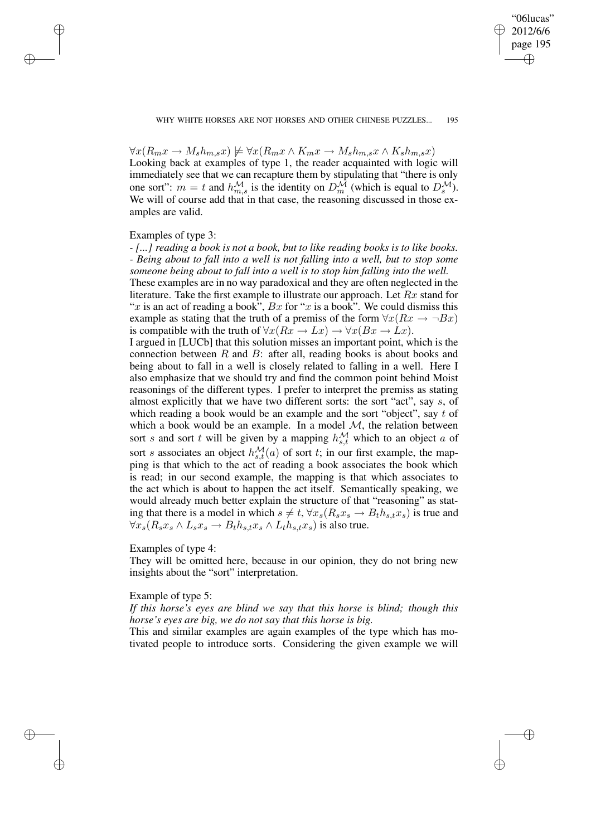✐

✐

✐

✐

 $\forall x (R_m x \rightarrow M_s h_{m,s} x) \not\models \forall x (R_m x \land K_m x \rightarrow M_s h_{m,s} x \land K_s h_{m,s} x)$ Looking back at examples of type 1, the reader acquainted with logic will immediately see that we can recapture them by stipulating that "there is only one sort":  $m = t$  and  $h_{m,s}^{\mathcal{M}}$  is the identity on  $D_m^{\mathcal{M}}$  (which is equal to  $D_s^{\mathcal{M}}$ ). We will of course add that in that case, the reasoning discussed in those examples are valid.

#### Examples of type 3:

✐

✐

✐

✐

*- [...] reading a book is not a book, but to like reading books is to like books. - Being about to fall into a well is not falling into a well, but to stop some someone being about to fall into a well is to stop him falling into the well.*

These examples are in no way paradoxical and they are often neglected in the literature. Take the first example to illustrate our approach. Let  $Rx$  stand for "x is an act of reading a book",  $Bx$  for "x is a book". We could dismiss this example as stating that the truth of a premiss of the form  $\forall x (Rx \rightarrow \neg Bx)$ is compatible with the truth of  $\forall x (Rx \rightarrow Lx) \rightarrow \forall x (Bx \rightarrow Lx)$ .

I argued in [LUCb] that this solution misses an important point, which is the connection between  $R$  and  $B$ : after all, reading books is about books and being about to fall in a well is closely related to falling in a well. Here I also emphasize that we should try and find the common point behind Moist reasonings of the different types. I prefer to interpret the premiss as stating almost explicitly that we have two different sorts: the sort "act", say  $s$ , of which reading a book would be an example and the sort "object", say  $t$  of which a book would be an example. In a model  $M$ , the relation between sort s and sort t will be given by a mapping  $h_{s,t}^{\mathcal{M}}$  which to an object a of sort s associates an object  $h_{s,t}^{\mathcal{M}}(a)$  of sort t; in our first example, the mapping is that which to the act of reading a book associates the book which is read; in our second example, the mapping is that which associates to the act which is about to happen the act itself. Semantically speaking, we would already much better explain the structure of that "reasoning" as stating that there is a model in which  $s \neq t$ ,  $\forall x_s(R_s x_s \rightarrow B_t h_{s,t} x_s)$  is true and  $\forall x_s(R_sx_s \land L_sx_s \rightarrow B_th_{s,t}x_s \land L_th_{s,t}x_s)$  is also true.

#### Examples of type 4:

They will be omitted here, because in our opinion, they do not bring new insights about the "sort" interpretation.

#### Example of type 5:

*If this horse's eyes are blind we say that this horse is blind; though this horse's eyes are big, we do not say that this horse is big.*

This and similar examples are again examples of the type which has motivated people to introduce sorts. Considering the given example we will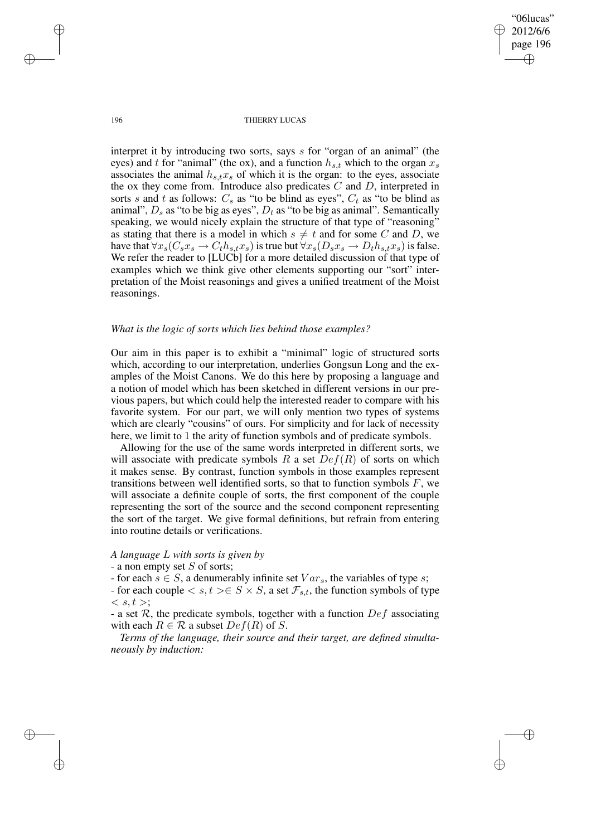"06lucas" 2012/6/6 page 196 ✐ ✐

✐

✐

196 THIERRY LUCAS

interpret it by introducing two sorts, says s for "organ of an animal" (the eyes) and t for "animal" (the ox), and a function  $h_{s,t}$  which to the organ  $x_s$ associates the animal  $h_{s,t}x_s$  of which it is the organ: to the eyes, associate the ox they come from. Introduce also predicates  $C$  and  $D$ , interpreted in sorts s and t as follows:  $C_s$  as "to be blind as eyes",  $C_t$  as "to be blind as animal",  $D_s$  as "to be big as eyes",  $D_t$  as "to be big as animal". Semantically speaking, we would nicely explain the structure of that type of "reasoning" as stating that there is a model in which  $s \neq t$  and for some C and D, we have that  $\forall x_s(C_sx_s \rightarrow C_th_{s,t}x_s)$  is true but  $\forall x_s(D_sx_s \rightarrow D_th_{s,t}x_s)$  is false. We refer the reader to [LUCb] for a more detailed discussion of that type of examples which we think give other elements supporting our "sort" interpretation of the Moist reasonings and gives a unified treatment of the Moist reasonings.

## *What is the logic of sorts which lies behind those examples?*

Our aim in this paper is to exhibit a "minimal" logic of structured sorts which, according to our interpretation, underlies Gongsun Long and the examples of the Moist Canons. We do this here by proposing a language and a notion of model which has been sketched in different versions in our previous papers, but which could help the interested reader to compare with his favorite system. For our part, we will only mention two types of systems which are clearly "cousins" of ours. For simplicity and for lack of necessity here, we limit to 1 the arity of function symbols and of predicate symbols.

Allowing for the use of the same words interpreted in different sorts, we will associate with predicate symbols R a set  $Def(R)$  of sorts on which it makes sense. By contrast, function symbols in those examples represent transitions between well identified sorts, so that to function symbols  $F$ , we will associate a definite couple of sorts, the first component of the couple representing the sort of the source and the second component representing the sort of the target. We give formal definitions, but refrain from entering into routine details or verifications.

## *A language* L *with sorts is given by*

## - a non empty set  $S$  of sorts;

- for each  $s \in S$ , a denumerably infinite set  $Var_s$ , the variables of type s;

- for each couple  $\langle s,t\rangle \in S \times S$ , a set  $\mathcal{F}_{s,t}$ , the function symbols of type  $\langle s,t\rangle$ ;

- a set  $\mathcal{R}$ , the predicate symbols, together with a function  $Def$  associating with each  $R \in \mathcal{R}$  a subset  $Def(R)$  of S.

*Terms of the language, their source and their target, are defined simultaneously by induction:*

✐

✐

✐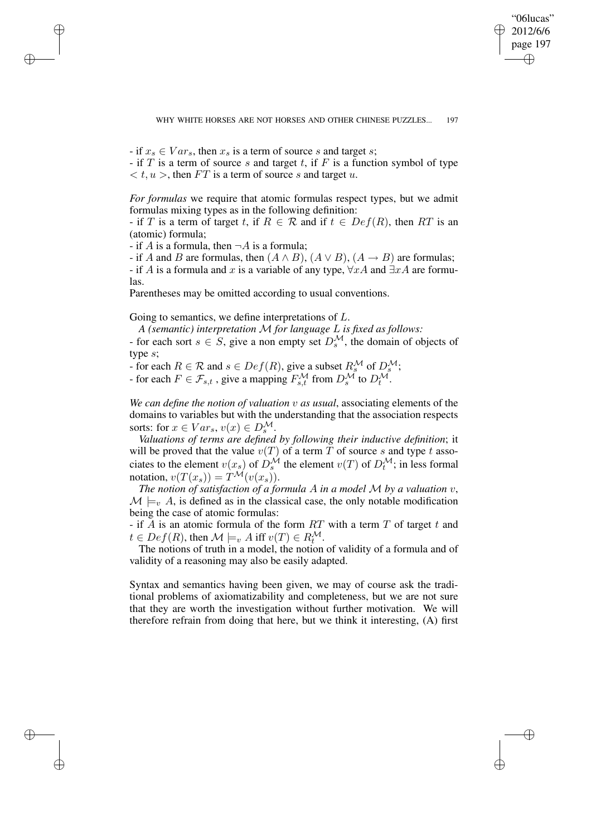WHY WHITE HORSES ARE NOT HORSES AND OTHER CHINESE PUZZLES... 197

"06lucas" 2012/6/6 page 197

✐

✐

✐

✐

- if  $x_s \in Var_s$ , then  $x_s$  is a term of source s and target s;

- if T is a term of source s and target t, if F is a function symbol of type  $\langle t, u \rangle$ , then FT is a term of source s and target u.

*For formulas* we require that atomic formulas respect types, but we admit formulas mixing types as in the following definition:

- if T is a term of target t, if  $R \in \mathcal{R}$  and if  $t \in Def(R)$ , then RT is an (atomic) formula;

- if A is a formula, then  $\neg A$  is a formula;

✐

✐

✐

✐

- if A and B are formulas, then  $(A \wedge B)$ ,  $(A \vee B)$ ,  $(A \rightarrow B)$  are formulas; - if A is a formula and x is a variable of any type,  $\forall x A$  and  $\exists x A$  are formu-

las.

Parentheses may be omitted according to usual conventions.

Going to semantics, we define interpretations of L.

*A (semantic) interpretation* M *for language* L *is fixed as follows:* - for each sort  $s \in S$ , give a non empty set  $D_s^{\mathcal{M}}$ , the domain of objects of type s;

- for each  $R \in \mathcal{R}$  and  $s \in Def(R)$ , give a subset  $R_s^{\mathcal{M}}$  of  $D_s^{\mathcal{M}}$ ;

- for each  $F \in \mathcal{F}_{s,t}$ , give a mapping  $F_{s,t}^{\mathcal{M}}$  from  $D_s^{\mathcal{M}}$  to  $D_t^{\mathcal{M}}$ .

*We can define the notion of valuation* v *as usual*, associating elements of the domains to variables but with the understanding that the association respects sorts: for  $x \in Var_s$ ,  $v(x) \in D_s^{\mathcal{M}}$ .

*Valuations of terms are defined by following their inductive definition*; it will be proved that the value  $v(T)$  of a term T of source s and type t associates to the element  $v(x_s)$  of  $\hat{D}_s^{\mathcal{M}}$  the element  $v(T)$  of  $D_t^{\mathcal{M}}$ ; in less formal notation,  $v(T(x_s)) = T^{\mathcal{M}}(v(x_s)).$ 

*The notion of satisfaction of a formula* A *in a model* M *by a valuation* v,  $\mathcal{M} \models_{v} A$ , is defined as in the classical case, the only notable modification being the case of atomic formulas:

- if A is an atomic formula of the form  $RT$  with a term T of target t and  $t \in Def(R)$ , then  $\mathcal{M} \models_v A$  iff  $v(T) \in R_t^{\mathcal{M}}$ .

The notions of truth in a model, the notion of validity of a formula and of validity of a reasoning may also be easily adapted.

Syntax and semantics having been given, we may of course ask the traditional problems of axiomatizability and completeness, but we are not sure that they are worth the investigation without further motivation. We will therefore refrain from doing that here, but we think it interesting, (A) first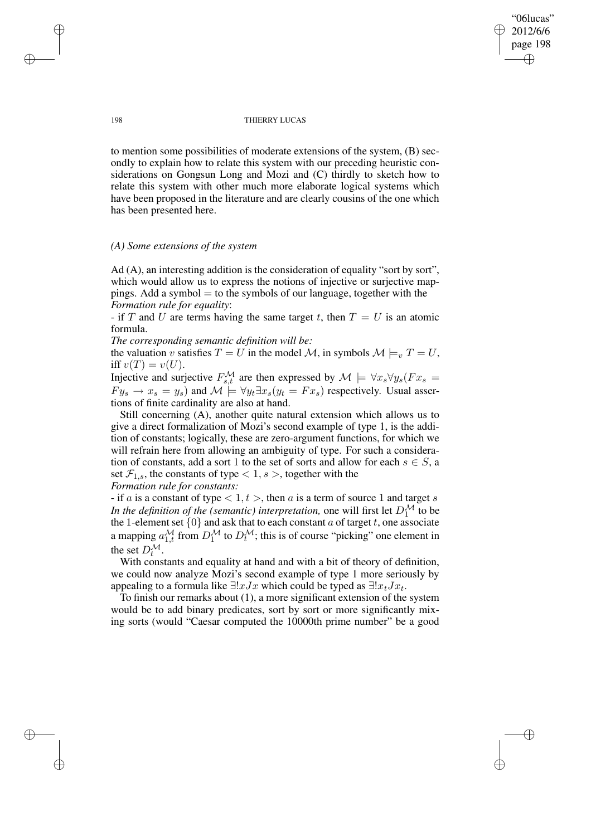## "06lucas" 2012/6/6 page 198 ✐ ✐

✐

✐

#### 198 THIERRY LUCAS

to mention some possibilities of moderate extensions of the system, (B) secondly to explain how to relate this system with our preceding heuristic considerations on Gongsun Long and Mozi and (C) thirdly to sketch how to relate this system with other much more elaborate logical systems which have been proposed in the literature and are clearly cousins of the one which has been presented here.

# *(A) Some extensions of the system*

 $Ad (A)$ , an interesting addition is the consideration of equality "sort by sort", which would allow us to express the notions of injective or surjective mappings. Add a symbol  $=$  to the symbols of our language, together with the *Formation rule for equality*:

- if T and U are terms having the same target t, then  $T = U$  is an atomic formula.

*The corresponding semantic definition will be:*

the valuation v satisfies  $T = U$  in the model  $M$ , in symbols  $M \models_{v} T = U$ , iff  $v(T) = v(U)$ .

Injective and surjective  $F_{s,t}^{\mathcal{M}}$  are then expressed by  $\mathcal{M} \models \forall x_s \forall y_s (Fx_s =$  $Fy_s \to x_s = y_s$ ) and  $\mathcal{M} \models \forall y_t \exists x_s (y_t = Fx_s)$  respectively. Usual assertions of finite cardinality are also at hand.

Still concerning (A), another quite natural extension which allows us to give a direct formalization of Mozi's second example of type 1, is the addition of constants; logically, these are zero-argument functions, for which we will refrain here from allowing an ambiguity of type. For such a consideration of constants, add a sort 1 to the set of sorts and allow for each  $s \in S$ , a set  $\mathcal{F}_{1,s}$ , the constants of type  $\lt 1, s >$ , together with the *Formation rule for constants:*

- if a is a constant of type  $\langle 1, t \rangle$ , then a is a term of source 1 and target s In the definition of the (semantic) interpretation, one will first let  $D_1^{\mathcal{M}}$  to be the 1-element set  $\{0\}$  and ask that to each constant a of target t, one associate a mapping  $a_{1,t}^{\mathcal{M}}$  from  $D_1^{\mathcal{M}}$  to  $D_t^{\mathcal{M}}$ ; this is of course "picking" one element in the set  $D_t^{\mathcal{M}}$ .

With constants and equality at hand and with a bit of theory of definition, we could now analyze Mozi's second example of type 1 more seriously by appealing to a formula like  $\exists !x Jx$  which could be typed as  $\exists !x_tJx_t$ .

To finish our remarks about (1), a more significant extension of the system would be to add binary predicates, sort by sort or more significantly mixing sorts (would "Caesar computed the 10000th prime number" be a good

✐

✐

✐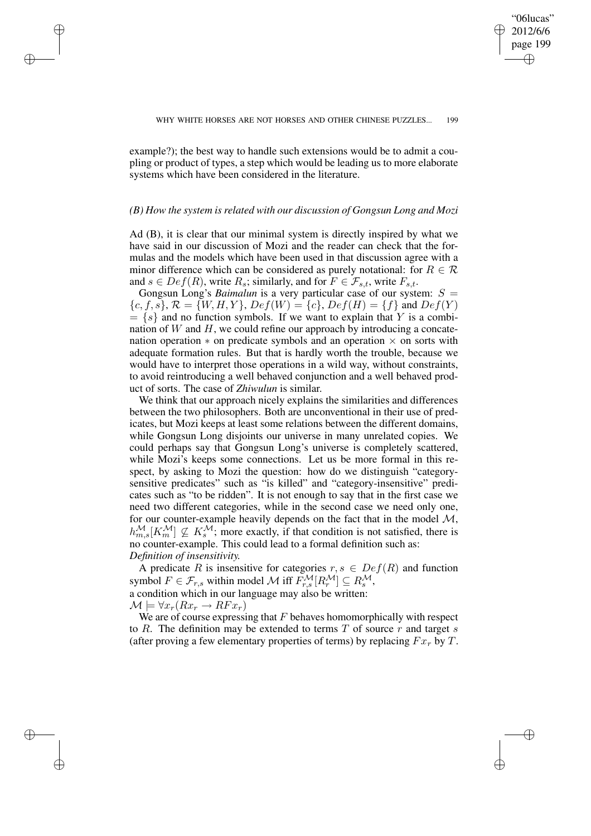✐

✐

✐

✐

example?); the best way to handle such extensions would be to admit a coupling or product of types, a step which would be leading us to more elaborate systems which have been considered in the literature.

✐

✐

✐

✐

#### *(B) How the system is related with our discussion of Gongsun Long and Mozi*

Ad (B), it is clear that our minimal system is directly inspired by what we have said in our discussion of Mozi and the reader can check that the formulas and the models which have been used in that discussion agree with a minor difference which can be considered as purely notational: for  $R \in \mathcal{R}$ and  $s \in Def(R)$ , write  $R_s$ ; similarly, and for  $F \in \mathcal{F}_{s,t}$ , write  $F_{s,t}$ .

Gongsun Long's *Baimalun* is a very particular case of our system:  $S =$  ${c, f, s}$ ,  $\mathcal{R} = \{W, H, Y\}$ ,  $Def(W) = {c}$ ,  $Def(H) = {f}$  and  $Def(Y)$  $= \{s\}$  and no function symbols. If we want to explain that Y is a combination of  $W$  and  $H$ , we could refine our approach by introducing a concatenation operation  $*$  on predicate symbols and an operation  $\times$  on sorts with adequate formation rules. But that is hardly worth the trouble, because we would have to interpret those operations in a wild way, without constraints, to avoid reintroducing a well behaved conjunction and a well behaved product of sorts. The case of *Zhiwulun* is similar.

We think that our approach nicely explains the similarities and differences between the two philosophers. Both are unconventional in their use of predicates, but Mozi keeps at least some relations between the different domains, while Gongsun Long disjoints our universe in many unrelated copies. We could perhaps say that Gongsun Long's universe is completely scattered, while Mozi's keeps some connections. Let us be more formal in this respect, by asking to Mozi the question: how do we distinguish "categorysensitive predicates" such as "is killed" and "category-insensitive" predicates such as "to be ridden". It is not enough to say that in the first case we need two different categories, while in the second case we need only one, for our counter-example heavily depends on the fact that in the model  $M$ ,  $h_{m,s}^{\mathcal{M}}[K_m^{\mathcal{M}}] \nsubseteq K_s^{\mathcal{M}}$ ; more exactly, if that condition is not satisfied, there is no counter-example. This could lead to a formal definition such as: *Definition of insensitivity.*

A predicate R is insensitive for categories  $r, s \in Def(R)$  and function symbol  $F \in \mathcal{F}_{r,s}$  within model  $\mathcal M$  iff  $\widetilde{F}_{r,s}^{\mathcal M}[R_r^{\mathcal M}] \subseteq R_s^{\mathcal M}$ , a condition which in our language may also be written:  $\mathcal{M} \models \forall x_r(Rx_r \rightarrow RFx_r)$ 

We are of course expressing that  $F$  behaves homomorphically with respect to R. The definition may be extended to terms  $T$  of source  $r$  and target  $s$ (after proving a few elementary properties of terms) by replacing  $Fx_r$  by T.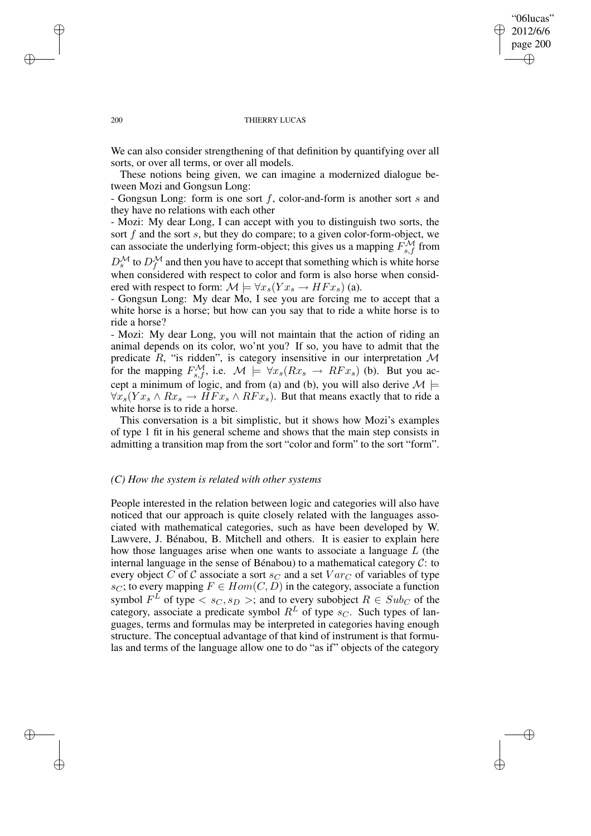## "06lucas" 2012/6/6 page 200 ✐ ✐

✐

✐

#### 200 THIERRY LUCAS

We can also consider strengthening of that definition by quantifying over all sorts, or over all terms, or over all models.

These notions being given, we can imagine a modernized dialogue between Mozi and Gongsun Long:

- Gongsun Long: form is one sort f, color-and-form is another sort s and they have no relations with each other

- Mozi: My dear Long, I can accept with you to distinguish two sorts, the sort  $f$  and the sort  $s$ , but they do compare; to a given color-form-object, we can associate the underlying form-object; this gives us a mapping  $F_{s,f}^{\mathcal{M}}$  from  $D_s^{\mathcal{M}}$  to  $D_f^{\mathcal{M}}$  and then you have to accept that something which is white horse when considered with respect to color and form is also horse when considered with respect to form:  $\mathcal{M} \models \forall x_s(Yx_s \rightarrow HFx_s)$  (a).

- Gongsun Long: My dear Mo, I see you are forcing me to accept that a white horse is a horse; but how can you say that to ride a white horse is to ride a horse?

- Mozi: My dear Long, you will not maintain that the action of riding an animal depends on its color, wo'nt you? If so, you have to admit that the predicate  $R$ , "is ridden", is category insensitive in our interpretation  $M$ for the mapping  $F_{s,f}^{\mathcal{M}}$ , i.e.  $\mathcal{M} \models \forall x_s(Rx_s \rightarrow RFx_s)$  (b). But you accept a minimum of logic, and from (a) and (b), you will also derive  $M \models$  $\forall x_s(Yx_s \land Rx_s \rightarrow HFx_s \land RFx_s)$ . But that means exactly that to ride a white horse is to ride a horse.

This conversation is a bit simplistic, but it shows how Mozi's examples of type 1 fit in his general scheme and shows that the main step consists in admitting a transition map from the sort "color and form" to the sort "form".

#### *(C) How the system is related with other systems*

People interested in the relation between logic and categories will also have noticed that our approach is quite closely related with the languages associated with mathematical categories, such as have been developed by W. Lawvere, J. Bénabou, B. Mitchell and others. It is easier to explain here how those languages arise when one wants to associate a language  $L$  (the internal language in the sense of Bénabou) to a mathematical category  $C$ : to every object C of C associate a sort  $s_C$  and a set  $Var_C$  of variables of type s<sub>C</sub>; to every mapping  $F \in Hom(C, D)$  in the category, associate a function symbol  $F^L$  of type  $\langle s_C, s_D \rangle$ ; and to every subobject  $R \in Sub_C$  of the category, associate a predicate symbol  $R<sup>L</sup>$  of type  $s<sub>C</sub>$ . Such types of languages, terms and formulas may be interpreted in categories having enough structure. The conceptual advantage of that kind of instrument is that formulas and terms of the language allow one to do "as if" objects of the category

✐

✐

✐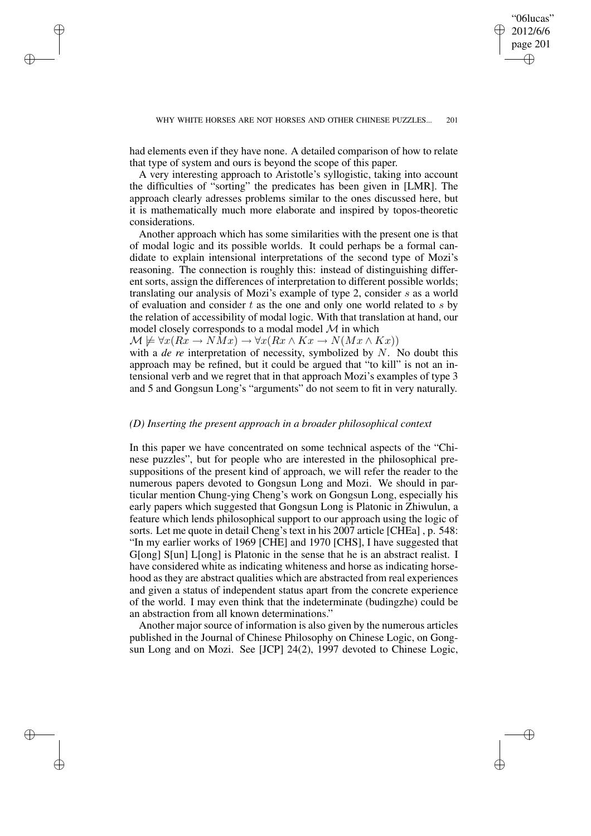✐

✐

✐

✐

had elements even if they have none. A detailed comparison of how to relate that type of system and ours is beyond the scope of this paper.

✐

✐

✐

✐

A very interesting approach to Aristotle's syllogistic, taking into account the difficulties of "sorting" the predicates has been given in [LMR]. The approach clearly adresses problems similar to the ones discussed here, but it is mathematically much more elaborate and inspired by topos-theoretic considerations.

Another approach which has some similarities with the present one is that of modal logic and its possible worlds. It could perhaps be a formal candidate to explain intensional interpretations of the second type of Mozi's reasoning. The connection is roughly this: instead of distinguishing different sorts, assign the differences of interpretation to different possible worlds; translating our analysis of Mozi's example of type 2, consider s as a world of evaluation and consider  $t$  as the one and only one world related to  $s$  by the relation of accessibility of modal logic. With that translation at hand, our model closely corresponds to a modal model  $\mathcal M$  in which

 $\mathcal{M} \not\models \forall x(Rx \to NMx) \to \forall x(Rx \land Kx \to N(Mx \land Kx))$ 

with a *de re* interpretation of necessity, symbolized by N. No doubt this approach may be refined, but it could be argued that "to kill" is not an intensional verb and we regret that in that approach Mozi's examples of type 3 and 5 and Gongsun Long's "arguments" do not seem to fit in very naturally.

# *(D) Inserting the present approach in a broader philosophical context*

In this paper we have concentrated on some technical aspects of the "Chinese puzzles", but for people who are interested in the philosophical presuppositions of the present kind of approach, we will refer the reader to the numerous papers devoted to Gongsun Long and Mozi. We should in particular mention Chung-ying Cheng's work on Gongsun Long, especially his early papers which suggested that Gongsun Long is Platonic in Zhiwulun, a feature which lends philosophical support to our approach using the logic of sorts. Let me quote in detail Cheng's text in his 2007 article [CHEa] , p. 548: "In my earlier works of 1969 [CHE] and 1970 [CHS], I have suggested that G[ong] S[un] L[ong] is Platonic in the sense that he is an abstract realist. I have considered white as indicating whiteness and horse as indicating horsehood as they are abstract qualities which are abstracted from real experiences and given a status of independent status apart from the concrete experience of the world. I may even think that the indeterminate (budingzhe) could be an abstraction from all known determinations."

Another major source of information is also given by the numerous articles published in the Journal of Chinese Philosophy on Chinese Logic, on Gongsun Long and on Mozi. See [JCP] 24(2), 1997 devoted to Chinese Logic,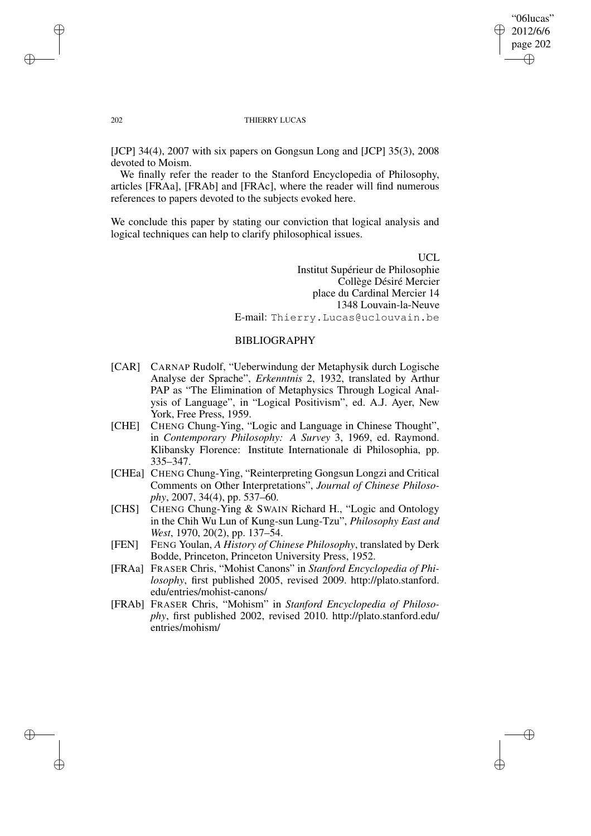## "06lucas" 2012/6/6 page 202 ✐ ✐

✐

✐

#### 202 THIERRY LUCAS

[JCP] 34(4), 2007 with six papers on Gongsun Long and [JCP] 35(3), 2008 devoted to Moism.

We finally refer the reader to the Stanford Encyclopedia of Philosophy, articles [FRAa], [FRAb] and [FRAc], where the reader will find numerous references to papers devoted to the subjects evoked here.

We conclude this paper by stating our conviction that logical analysis and logical techniques can help to clarify philosophical issues.

UCL

Institut Supérieur de Philosophie Collège Désiré Mercier place du Cardinal Mercier 14 1348 Louvain-la-Neuve E-mail: Thierry.Lucas@uclouvain.be

# BIBLIOGRAPHY

- [CAR] CARNAP Rudolf, "Ueberwindung der Metaphysik durch Logische Analyse der Sprache", *Erkenntnis* 2, 1932, translated by Arthur PAP as "The Elimination of Metaphysics Through Logical Analysis of Language", in "Logical Positivism", ed. A.J. Ayer, New York, Free Press, 1959.
- [CHE] CHENG Chung-Ying, "Logic and Language in Chinese Thought", in *Contemporary Philosophy: A Survey* 3, 1969, ed. Raymond. Klibansky Florence: Institute Internationale di Philosophia, pp. 335–347.
- [CHEa] CHENG Chung-Ying, "Reinterpreting Gongsun Longzi and Critical Comments on Other Interpretations", *Journal of Chinese Philosophy*, 2007, 34(4), pp. 537–60.
- [CHS] CHENG Chung-Ying & SWAIN Richard H., "Logic and Ontology in the Chih Wu Lun of Kung-sun Lung-Tzu", *Philosophy East and West*, 1970, 20(2), pp. 137–54.
- [FEN] FENG Youlan, *A History of Chinese Philosophy*, translated by Derk Bodde, Princeton, Princeton University Press, 1952.
- [FRAa] FRASER Chris, "Mohist Canons" in *Stanford Encyclopedia of Philosophy*, first published 2005, revised 2009. http://plato.stanford. edu/entries/mohist-canons/
- [FRAb] FRASER Chris, "Mohism" in *Stanford Encyclopedia of Philosophy*, first published 2002, revised 2010. http://plato.stanford.edu/ entries/mohism/

✐

✐

✐